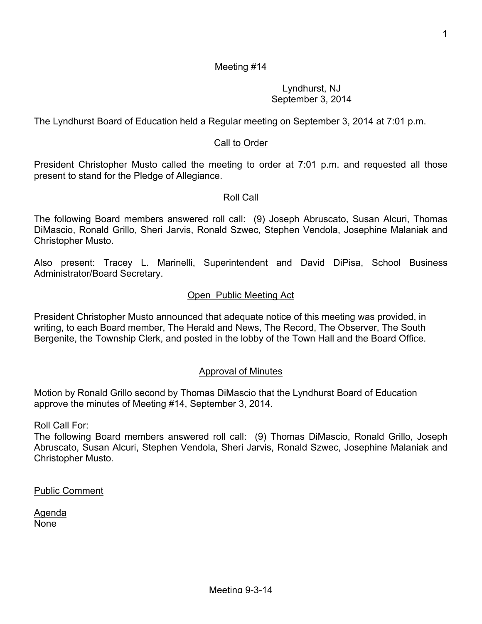## Lyndhurst, NJ September 3, 2014

The Lyndhurst Board of Education held a Regular meeting on September 3, 2014 at 7:01 p.m.

# Call to Order

President Christopher Musto called the meeting to order at 7:01 p.m. and requested all those present to stand for the Pledge of Allegiance.

## Roll Call

The following Board members answered roll call: (9) Joseph Abruscato, Susan Alcuri, Thomas DiMascio, Ronald Grillo, Sheri Jarvis, Ronald Szwec, Stephen Vendola, Josephine Malaniak and Christopher Musto.

Also present: Tracey L. Marinelli, Superintendent and David DiPisa, School Business Administrator/Board Secretary.

## Open Public Meeting Act

President Christopher Musto announced that adequate notice of this meeting was provided, in writing, to each Board member, The Herald and News, The Record, The Observer, The South Bergenite, the Township Clerk, and posted in the lobby of the Town Hall and the Board Office.

### Approval of Minutes

Motion by Ronald Grillo second by Thomas DiMascio that the Lyndhurst Board of Education approve the minutes of Meeting #14, September 3, 2014.

Roll Call For:

The following Board members answered roll call: (9) Thomas DiMascio, Ronald Grillo, Joseph Abruscato, Susan Alcuri, Stephen Vendola, Sheri Jarvis, Ronald Szwec, Josephine Malaniak and Christopher Musto.

Public Comment

Agenda None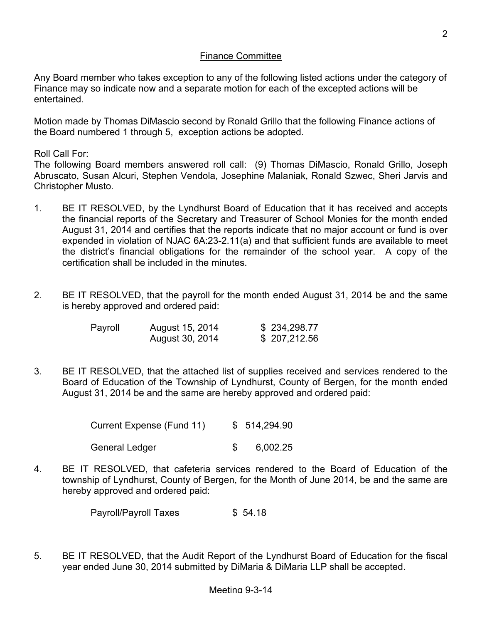## Finance Committee

Any Board member who takes exception to any of the following listed actions under the category of Finance may so indicate now and a separate motion for each of the excepted actions will be entertained.

Motion made by Thomas DiMascio second by Ronald Grillo that the following Finance actions of the Board numbered 1 through 5, exception actions be adopted.

Roll Call For:

The following Board members answered roll call: (9) Thomas DiMascio, Ronald Grillo, Joseph Abruscato, Susan Alcuri, Stephen Vendola, Josephine Malaniak, Ronald Szwec, Sheri Jarvis and Christopher Musto.

- 1. BE IT RESOLVED, by the Lyndhurst Board of Education that it has received and accepts the financial reports of the Secretary and Treasurer of School Monies for the month ended August 31, 2014 and certifies that the reports indicate that no major account or fund is over expended in violation of NJAC 6A:23-2.11(a) and that sufficient funds are available to meet the district's financial obligations for the remainder of the school year. A copy of the certification shall be included in the minutes.
- 2. BE IT RESOLVED, that the payroll for the month ended August 31, 2014 be and the same is hereby approved and ordered paid:

| Payroll | August 15, 2014 | \$234,298.77 |
|---------|-----------------|--------------|
|         | August 30, 2014 | \$207,212.56 |

3. BE IT RESOLVED, that the attached list of supplies received and services rendered to the Board of Education of the Township of Lyndhurst, County of Bergen, for the month ended August 31, 2014 be and the same are hereby approved and ordered paid:

| Current Expense (Fund 11) | \$514,294.90 |
|---------------------------|--------------|
| General Ledger            | 6,002.25     |

4. BE IT RESOLVED, that cafeteria services rendered to the Board of Education of the township of Lyndhurst, County of Bergen, for the Month of June 2014, be and the same are hereby approved and ordered paid:

Payroll/Payroll Taxes \$ 54.18

5. BE IT RESOLVED, that the Audit Report of the Lyndhurst Board of Education for the fiscal year ended June 30, 2014 submitted by DiMaria & DiMaria LLP shall be accepted.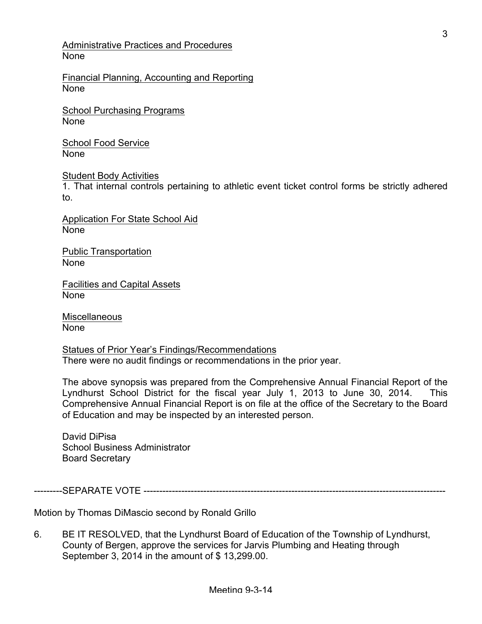Administrative Practices and Procedures None

Financial Planning, Accounting and Reporting None

School Purchasing Programs None

School Food Service None

Student Body Activities

1. That internal controls pertaining to athletic event ticket control forms be strictly adhered to.

Application For State School Aid None

Public Transportation None

Facilities and Capital Assets None

**Miscellaneous** None

Statues of Prior Year's Findings/Recommendations There were no audit findings or recommendations in the prior year.

The above synopsis was prepared from the Comprehensive Annual Financial Report of the Lyndhurst School District for the fiscal year July 1, 2013 to June 30, 2014. This Comprehensive Annual Financial Report is on file at the office of the Secretary to the Board of Education and may be inspected by an interested person.

David DiPisa School Business Administrator Board Secretary

---------SEPARATE VOTE ------------------------------------------------------------------------------------------------

Motion by Thomas DiMascio second by Ronald Grillo

6. BE IT RESOLVED, that the Lyndhurst Board of Education of the Township of Lyndhurst, County of Bergen, approve the services for Jarvis Plumbing and Heating through September 3, 2014 in the amount of \$ 13,299.00.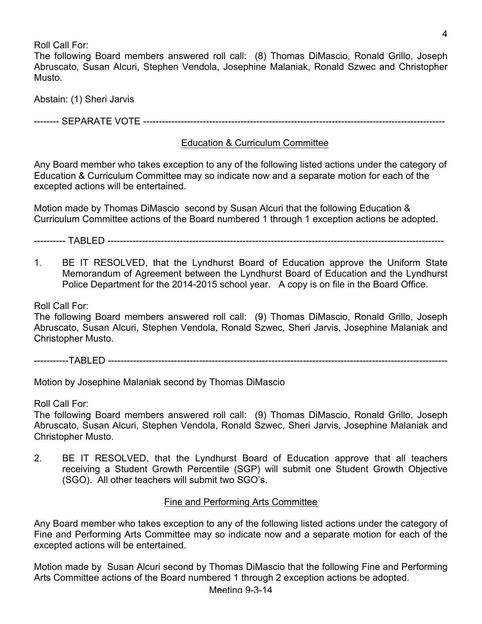Roll Call For:

The following Board members answered roll call: (8) Thomas DiMascio, Ronald Grillo, Joseph Abruscato, Susan Alcuri, Stephen Vendola, Josephine Malaniak, Ronald Szwec and Christopher Musto.

Abstain: (1) Sheri Jarvis

-------- SEPARATE VOTE ------------------------------------------------------------------------------------------------

## Education & Curriculum Committee

Any Board member who takes exception to any of the following listed actions under the category of Education & Curriculum Committee may so indicate now and a separate motion for each of the excepted actions will be entertained.

Motion made by Thomas DiMascio second by Susan Alcuri that the following Education & Curriculum Committee actions of the Board numbered 1 through 1 exception actions be adopted.

---------- TABLED -----------------------------------------------------------------------------------------------------------

1. BE IT RESOLVED, that the Lyndhurst Board of Education approve the Uniform State Memorandum of Agreement between the Lyndhurst Board of Education and the Lyndhurst Police Department for the 2014-2015 school year. A copy is on file in the Board Office.

Roll Call For:

The following Board members answered roll call: (9) Thomas DiMascio, Ronald Grillo, Joseph Abruscato, Susan Alcuri, Stephen Vendola, Ronald Szwec, Sheri Jarvis, Josephine Malaniak and Christopher Musto.

-----------TABLED ------------------------------------------------------------------------------------------------------------

Motion by Josephine Malaniak second by Thomas DiMascio

Roll Call For:

The following Board members answered roll call: (9) Thomas DiMascio, Ronald Grillo, Joseph Abruscato, Susan Alcuri, Stephen Vendola, Ronald Szwec, Sheri Jarvis, Josephine Malaniak and Christopher Musto.

2. BE IT RESOLVED, that the Lyndhurst Board of Education approve that all teachers receiving a Student Growth Percentile (SGP) will submit one Student Growth Objective (SGO). All other teachers will submit two SGO's.

### Fine and Performing Arts Committee

Any Board member who takes exception to any of the following listed actions under the category of Fine and Performing Arts Committee may so indicate now and a separate motion for each of the excepted actions will be entertained.

Motion made by Susan Alcuri second by Thomas DiMascio that the following Fine and Performing Arts Committee actions of the Board numbered 1 through 2 exception actions be adopted.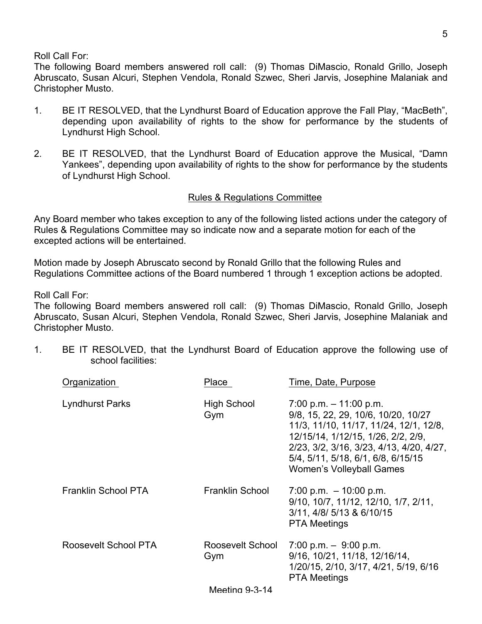Roll Call For:

The following Board members answered roll call: (9) Thomas DiMascio, Ronald Grillo, Joseph Abruscato, Susan Alcuri, Stephen Vendola, Ronald Szwec, Sheri Jarvis, Josephine Malaniak and Christopher Musto.

- 1. BE IT RESOLVED, that the Lyndhurst Board of Education approve the Fall Play, "MacBeth", depending upon availability of rights to the show for performance by the students of Lyndhurst High School.
- 2. BE IT RESOLVED, that the Lyndhurst Board of Education approve the Musical, "Damn Yankees", depending upon availability of rights to the show for performance by the students of Lyndhurst High School.

## Rules & Regulations Committee

Any Board member who takes exception to any of the following listed actions under the category of Rules & Regulations Committee may so indicate now and a separate motion for each of the excepted actions will be entertained.

Motion made by Joseph Abruscato second by Ronald Grillo that the following Rules and Regulations Committee actions of the Board numbered 1 through 1 exception actions be adopted.

Roll Call For:

The following Board members answered roll call: (9) Thomas DiMascio, Ronald Grillo, Joseph Abruscato, Susan Alcuri, Stephen Vendola, Ronald Szwec, Sheri Jarvis, Josephine Malaniak and Christopher Musto.

1. BE IT RESOLVED, that the Lyndhurst Board of Education approve the following use of school facilities:

| Organization           | Place                     | Time, Date, Purpose                                                                                                                                                                                                                                            |
|------------------------|---------------------------|----------------------------------------------------------------------------------------------------------------------------------------------------------------------------------------------------------------------------------------------------------------|
| <b>Lyndhurst Parks</b> | <b>High School</b><br>Gym | $7:00$ p.m. $-11:00$ p.m.<br>9/8, 15, 22, 29, 10/6, 10/20, 10/27<br>11/3, 11/10, 11/17, 11/24, 12/1, 12/8,<br>12/15/14, 1/12/15, 1/26, 2/2, 2/9,<br>2/23, 3/2, 3/16, 3/23, 4/13, 4/20, 4/27,<br>5/4, 5/11, 5/18, 6/1, 6/8, 6/15/15<br>Women's Volleyball Games |
| Franklin School PTA    | <b>Franklin School</b>    | $7:00$ p.m. $-10:00$ p.m.<br>9/10, 10/7, 11/12, 12/10, 1/7, 2/11,<br>3/11, 4/8/ 5/13 & 6/10/15<br><b>PTA Meetings</b>                                                                                                                                          |
| Roosevelt School PTA   | Roosevelt School<br>Gym   | 7:00 p.m. $-9.00$ p.m.<br>9/16, 10/21, 11/18, 12/16/14,<br>1/20/15, 2/10, 3/17, 4/21, 5/19, 6/16<br><b>PTA Meetings</b>                                                                                                                                        |
|                        | <b>Meeting 9-3-14</b>     |                                                                                                                                                                                                                                                                |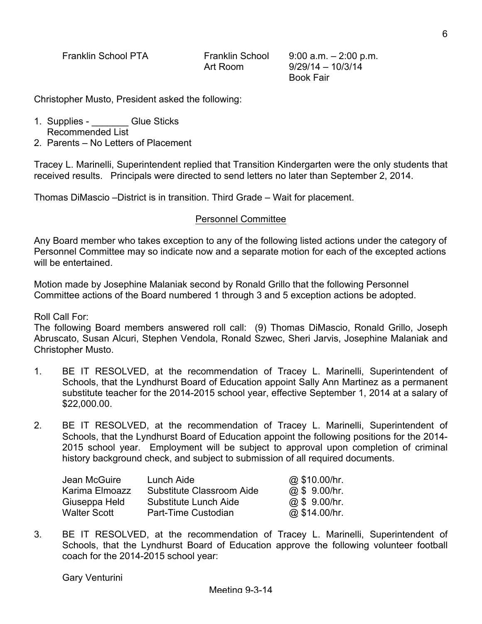Franklin School PTA Franklin School 9:00 a.m. – 2:00 p.m.

Art Room 9/29/14 – 10/3/14 Book Fair

Christopher Musto, President asked the following:

- 1. Supplies **Glue Sticks** Recommended List
- 2. Parents No Letters of Placement

Tracey L. Marinelli, Superintendent replied that Transition Kindergarten were the only students that received results. Principals were directed to send letters no later than September 2, 2014.

Thomas DiMascio –District is in transition. Third Grade – Wait for placement.

#### Personnel Committee

Any Board member who takes exception to any of the following listed actions under the category of Personnel Committee may so indicate now and a separate motion for each of the excepted actions will be entertained.

Motion made by Josephine Malaniak second by Ronald Grillo that the following Personnel Committee actions of the Board numbered 1 through 3 and 5 exception actions be adopted.

Roll Call For:

The following Board members answered roll call: (9) Thomas DiMascio, Ronald Grillo, Joseph Abruscato, Susan Alcuri, Stephen Vendola, Ronald Szwec, Sheri Jarvis, Josephine Malaniak and Christopher Musto.

- 1. BE IT RESOLVED, at the recommendation of Tracey L. Marinelli, Superintendent of Schools, that the Lyndhurst Board of Education appoint Sally Ann Martinez as a permanent substitute teacher for the 2014-2015 school year, effective September 1, 2014 at a salary of \$22,000.00.
- 2. BE IT RESOLVED, at the recommendation of Tracey L. Marinelli, Superintendent of Schools, that the Lyndhurst Board of Education appoint the following positions for the 2014- 2015 school year. Employment will be subject to approval upon completion of criminal history background check, and subject to submission of all required documents.

| Jean McGuire   | Lunch Aide                | @ \$10.00/hr. |
|----------------|---------------------------|---------------|
| Karima Elmoazz | Substitute Classroom Aide | @ \$ 9.00/hr. |
| Giuseppa Held  | Substitute Lunch Aide     | @ \$ 9.00/hr. |
| Walter Scott   | Part-Time Custodian       | @ \$14.00/hr. |

3. BE IT RESOLVED, at the recommendation of Tracey L. Marinelli, Superintendent of Schools, that the Lyndhurst Board of Education approve the following volunteer football coach for the 2014-2015 school year: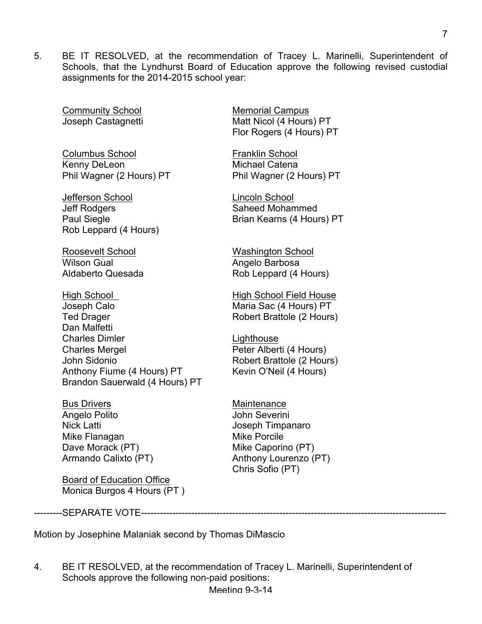5. BE IT RESOLVED, at the recommendation of Tracey L. Marinelli, Superintendent of Schools, that the Lyndhurst Board of Education approve the following revised custodial assignments for the 2014-2015 school year:

Community School Memorial Campus

Columbus School **Franklin** School Kenny DeLeon Michael Catena Phil Wagner (2 Hours) PT Phil Wagner (2 Hours) PT

Jefferson School Lincoln School Jeff Rodgers **Saheed Mohammed** Rob Leppard (4 Hours)

Roosevelt School Washington School Wilson Gual **Angelo Barbosa** 

High School **High School Field House** Joseph Calo **Maria Sac (4 Hours)** PT Ted Drager **Robert Brattole (2 Hours)** Dan Malfetti Charles Dimler **Lighthouse** Charles Mergel **Charles Mergel** Peter Alberti (4 Hours)<br>John Sidonio **Peter Albert Brattole (2 Hour** Anthony Fiume (4 Hours) PT Kevin O'Neil (4 Hours) Brandon Sauerwald (4 Hours) PT

Bus Drivers **Maintenance** Angelo Polito **Angelo Polito** Angelo Polito **John Severini** Nick Latti **Nick Latti** Joseph Timpanaro Mike Flanagan Mike Porcile Dave Morack (PT) Mike Caporino (PT)

Board of Education Office Monica Burgos 4 Hours (PT )

Joseph Castagnetti Matt Nicol (4 Hours) PT Flor Rogers (4 Hours) PT

Paul Siegle Brian Kearns (4 Hours) PT

Aldaberto Quesada Rob Leppard (4 Hours)

Robert Brattole (2 Hours)

Armando Calixto (PT) Anthony Lourenzo (PT) Chris Sofio (PT)

---------SEPARATE VOTE-------------------------------------------------------------------------------------------------

Motion by Josephine Malaniak second by Thomas DiMascio

4. BE IT RESOLVED, at the recommendation of Tracey L. Marinelli, Superintendent of Schools approve the following non-paid positions: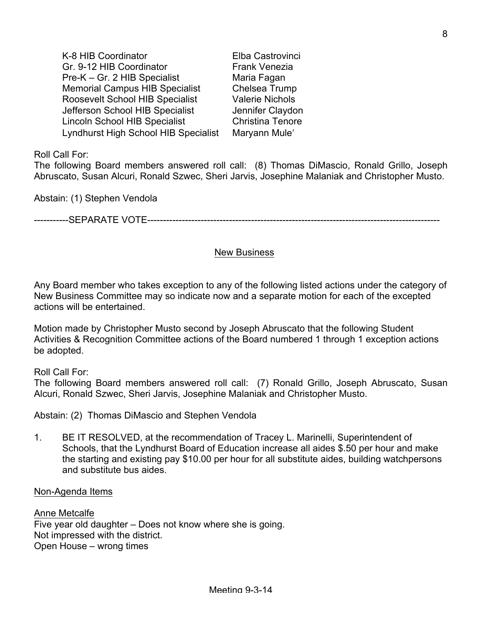K-8 HIB Coordinator **Elba Castrovinci** Gr. 9-12 HIB Coordinator Frank Venezia Pre-K – Gr. 2 HIB Specialist Maria Fagan Memorial Campus HIB Specialist Chelsea Trump Roosevelt School HIB Specialist Valerie Nichols Jefferson School HIB Specialist Jennifer Claydon Lincoln School HIB Specialist Christina Tenore Lyndhurst High School HIB Specialist Maryann Muleʹ

Roll Call For:

The following Board members answered roll call: (8) Thomas DiMascio, Ronald Grillo, Joseph Abruscato, Susan Alcuri, Ronald Szwec, Sheri Jarvis, Josephine Malaniak and Christopher Musto.

Abstain: (1) Stephen Vendola

-----------SEPARATE VOTE---------------------------------------------------------------------------------------------

#### New Business

Any Board member who takes exception to any of the following listed actions under the category of New Business Committee may so indicate now and a separate motion for each of the excepted actions will be entertained.

Motion made by Christopher Musto second by Joseph Abruscato that the following Student Activities & Recognition Committee actions of the Board numbered 1 through 1 exception actions be adopted.

Roll Call For:

The following Board members answered roll call: (7) Ronald Grillo, Joseph Abruscato, Susan Alcuri, Ronald Szwec, Sheri Jarvis, Josephine Malaniak and Christopher Musto.

Abstain: (2) Thomas DiMascio and Stephen Vendola

1. BE IT RESOLVED, at the recommendation of Tracey L. Marinelli, Superintendent of Schools, that the Lyndhurst Board of Education increase all aides \$.50 per hour and make the starting and existing pay \$10.00 per hour for all substitute aides, building watchpersons and substitute bus aides.

#### Non-Agenda Items

Anne Metcalfe Five year old daughter – Does not know where she is going. Not impressed with the district. Open House – wrong times